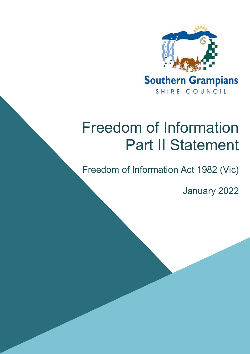

# Freedom of Information Part II Statement

Freedom of Information Act 1982 (Vic)

January 2022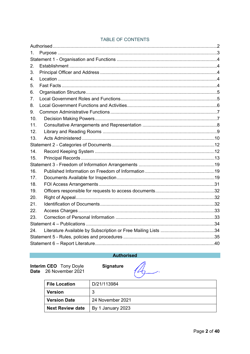| $1_{-}$ |  |  |  |  |  |
|---------|--|--|--|--|--|
|         |  |  |  |  |  |
| 2.      |  |  |  |  |  |
| 3.      |  |  |  |  |  |
| 4.      |  |  |  |  |  |
| 5.      |  |  |  |  |  |
| 6.      |  |  |  |  |  |
| 7.      |  |  |  |  |  |
| 8.      |  |  |  |  |  |
| 9.      |  |  |  |  |  |
| 10.     |  |  |  |  |  |
| 11.     |  |  |  |  |  |
| 12.     |  |  |  |  |  |
| 13.     |  |  |  |  |  |
|         |  |  |  |  |  |
| 14.     |  |  |  |  |  |
| 15.     |  |  |  |  |  |
|         |  |  |  |  |  |
| 16.     |  |  |  |  |  |
| 17.     |  |  |  |  |  |
| 18.     |  |  |  |  |  |
| 19.     |  |  |  |  |  |
| 20.     |  |  |  |  |  |
| 21.     |  |  |  |  |  |
| 22.     |  |  |  |  |  |
| 23.     |  |  |  |  |  |
|         |  |  |  |  |  |
| 24.     |  |  |  |  |  |
|         |  |  |  |  |  |
|         |  |  |  |  |  |

### TABLE OF CONTENTS

### **Authorised**

<span id="page-1-0"></span>**Interim CEO** Tony Doyle<br>Date 26 November 2021

Signature



| <b>File Location</b>    | D/21/113984       |
|-------------------------|-------------------|
| <b>Version</b>          | 3                 |
| <b>Version Date</b>     | 24 November 2021  |
| <b>Next Review date</b> | By 1 January 2023 |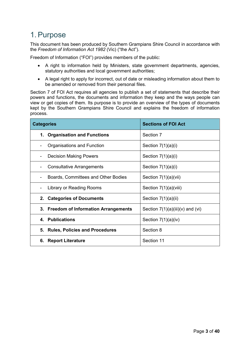# <span id="page-2-0"></span>1.Purpose

This document has been produced by Southern Grampians Shire Council in accordance with the *Freedom of Information Act 1982* (Vic) ("the Act").

Freedom of Information ("FOI") provides members of the public:

- A right to information held by Ministers, state government departments, agencies, statutory authorities and local government authorities;
- A legal right to apply for incorrect, out of date or misleading information about them to be amended or removed from their personal files.

Section 7 of FOI Act requires all agencies to publish a set of statements that describe their powers and functions, the documents and information they keep and the ways people can view or get copies of them. Its purpose is to provide an overview of the types of documents kept by the Southern Grampians Shire Council and explains the freedom of information process.

| <b>Categories</b>                      | <b>Sections of FOI Act</b>         |  |  |
|----------------------------------------|------------------------------------|--|--|
| 1. Organisation and Functions          | Section 7                          |  |  |
| Organisations and Function             | Section $7(1)(a)(i)$               |  |  |
| <b>Decision Making Powers</b>          | Section $7(1)(a)(i)$               |  |  |
| <b>Consultative Arrangements</b>       | Section $7(1)(a)(i)$               |  |  |
| Boards, Committees and Other Bodies    | Section 7(1)(a)(vii)               |  |  |
| Library or Reading Rooms               | Section $7(1)(a)(viii)$            |  |  |
| 2. Categories of Documents             | Section $7(1)(a)(ii)$              |  |  |
| 3. Freedom of Information Arrangements | Section $7(1)(a)(iii)(v)$ and (vi) |  |  |
| 4. Publications                        | Section $7(1)(a)(iv)$              |  |  |
| 5. Rules, Policies and Procedures      | Section 8                          |  |  |
| 6. Report Literature                   | Section 11                         |  |  |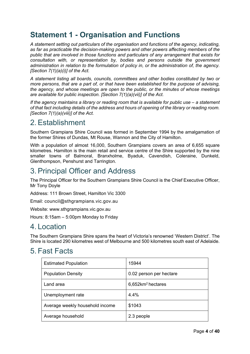# <span id="page-3-0"></span>**Statement 1 - Organisation and Functions**

*A statement setting out particulars of the organisation and functions of the agency, indicating, as far as practicable the decision-making powers and other powers affecting members of the public that are involved in those functions and particulars of any arrangement that exists for consultation with, or representation by, bodies and persons outside the government administration in relation to the formulation of policy in, or the administration of, the agency. [Section 7(1)(a)(i)] of the Act.*

*A statement listing all boards, councils, committees and other bodies constituted by two or more persons, that are a part of, or that have been established for the purpose of advising, the agency, and whose meetings are open to the public, or the minutes of whose meetings are available for public inspection. [Section 7(1)(a)(vii)] of the Act.*

*If the agency maintains a library or reading room that is available for public use – a statement of that fact including details of the address and hours of opening of the library or reading room. [Section 7(1)(a)(viii)] of the Act.*

### <span id="page-3-1"></span>2.Establishment

Southern Grampians Shire Council was formed in September 1994 by the amalgamation of the former Shires of Dundas, Mt Rouse, Wannon and the City of Hamilton.

With a population of almost 16,000, Southern Grampians covers an area of 6,655 square kilometres. Hamilton is the main retail and service centre of the Shire supported by the nine smaller towns of Balmoral, Branxholme, Byaduk, Cavendish, Coleraine, Dunkeld, Glenthompson, Penshurst and Tarrington.

# <span id="page-3-2"></span>3.Principal Officer and Address

The Principal Officer for the Southern Grampians Shire Council is the Chief Executive Officer, Mr Tony Doyle

Address: 111 Brown Street, Hamilton Vic 3300

Email: [council@sthgrampians.vic.gov.au](mailto:council@sthgrampians.vic.gov.au)

Website: [www.sthgrampians.vic.gov.au](http://www.sthgrampians.vic.gov.au/)

Hours: 8:15am – 5:00pm Monday to Friday

### <span id="page-3-3"></span>4. Location

The Southern Grampians Shire spans the heart of Victoria's renowned 'Western District'. The Shire is located 290 kilometres west of Melbourne and 500 kilometres south east of Adelaide.

### <span id="page-3-4"></span>5. Fast Facts

| <b>Estimated Population</b>     | 15944                            |
|---------------------------------|----------------------------------|
| <b>Population Density</b>       | 0.02 person per hectare          |
| Land area                       | $6,652$ km <sup>2</sup> hectares |
| Unemployment rate               | $4.4\%$                          |
| Average weekly household income | \$1043                           |
| Average household               | 2.3 people                       |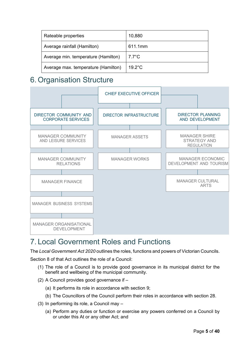| Rateable properties                 | 10,880           |
|-------------------------------------|------------------|
| Average rainfall (Hamilton)         | 611.1mm          |
| Average min. temperature (Hamilton) | $7.7^{\circ}$ C  |
| Average max. temperature (Hamilton) | $19.2^{\circ}$ C |

# <span id="page-4-0"></span>6. Organisation Structure



# <span id="page-4-1"></span>7. Local Government Roles and Functions

The *Local Government Act 2020* outlines the roles, functions and powers of Victorian Councils.

Section 8 of that Act outlines the role of a Council:

- (1) The role of a Council is to provide good governance in its municipal district for the benefit and wellbeing of the municipal community.
- (2) A Council provides good governance if
	- (a) It performs its role in accordance with section 9;
	- (b) The Councillors of the Council perform their roles in accordance with section 28.
- (3) In performing its role, a Council may
	- (a) Perform any duties or function or exercise any powers conferred on a Council by or under this At or any other Act; and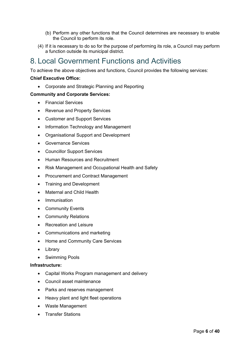- (b) Perform any other functions that the Council determines are necessary to enable the Council to perform its role.
- (4) If it is necessary to do so for the purpose of performing its role, a Council may perform a function outside its municipal district.

# <span id="page-5-0"></span>8. Local Government Functions and Activities

To achieve the above objectives and functions, Council provides the following services:

### **Chief Executive Office:**

• Corporate and Strategic Planning and Reporting

### **Community and Corporate Services:**

- Financial Services
- Revenue and Property Services
- Customer and Support Services
- Information Technology and Management
- Organisational Support and Development
- Governance Services
- Councillor Support Services
- Human Resources and Recruitment
- Risk Management and Occupational Health and Safety
- Procurement and Contract Management
- Training and Development
- Maternal and Child Health
- Immunisation
- Community Events
- Community Relations
- Recreation and Leisure
- Communications and marketing
- Home and Community Care Services
- Library
- Swimming Pools

### **Infrastructure:**

- Capital Works Program management and delivery
- Council asset maintenance
- Parks and reserves management
- Heavy plant and light fleet operations
- Waste Management
- Transfer Stations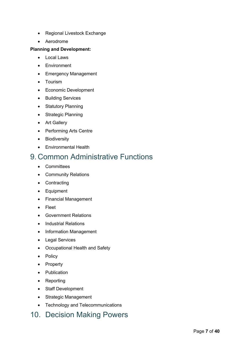- Regional Livestock Exchange
- Aerodrome

### **Planning and Development:**

- Local Laws
- Environment
- Emergency Management
- Tourism
- Economic Development
- Building Services
- Statutory Planning
- Strategic Planning
- Art Gallery
- Performing Arts Centre
- Biodiversity
- Environmental Health

### <span id="page-6-0"></span>9. Common Administrative Functions

- Committees
- Community Relations
- Contracting
- Equipment
- Financial Management
- Fleet
- Government Relations
- Industrial Relations
- Information Management
- Legal Services
- Occupational Health and Safety
- Policy
- Property
- Publication
- Reporting
- Staff Development
- Strategic Management
- Technology and Telecommunications

### <span id="page-6-1"></span>10. Decision Making Powers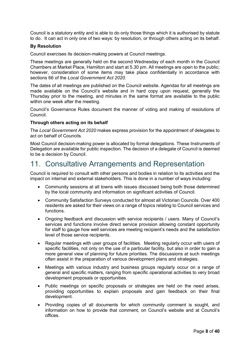Council is a statutory entity and is able to do only those things which it is authorised by statute to do. It can act in only one of two ways: by resolution, or through others acting on its behalf.

### **By Resolution**

Council exercises its decision-making powers at Council meetings.

These meetings are generally held on the second Wednesday of each month in the Council Chambers at Market Place, Hamilton and start at 5.30 pm. All meetings are open to the public; however, consideration of some items may take place confidentially in accordance with sections 66 of the *Local Government Act 2020.*

The dates of all meetings are published on the Council website. Agendas for all meetings are made available on the Council's website and in hard copy upon request, generally the Thursday prior to the meeting, and minutes in the same format are available to the public within one week after the meeting.

Council's Governance Rules document the manner of voting and making of resolutions of Council.

#### **Through others acting on its behalf**

The *Local Government Act 2020* makes express provision for the appointment of delegates to act on behalf of Councils.

Most Council decision-making power is allocated by formal delegations. These Instruments of Delegation are available for public inspection. The decision of a delegate of Council is deemed to be a decision by Council.

### <span id="page-7-0"></span>11. Consultative Arrangements and Representation

Council is required to consult with other persons and bodies in relation to its activities and the impact on internal and external stakeholders. This is done in a number of ways including:

- Community sessions at all towns with issues discussed being both those determined by the local community and information on significant activities of Council.
- Community Satisfaction Surveys conducted for almost all Victorian Councils. Over 400 residents are asked for their views on a range of topics relating to Council services and functions.
- Ongoing feedback and discussion with service recipients / users. Many of Council's services and functions involve direct service provision allowing constant opportunity for staff to gauge how well services are meeting recipient's needs and the satisfaction level of those service recipients.
- Regular meetings with user groups of facilities. Meeting regularly occur with users of specific facilities, not only on the use of a particular facility, but also in order to gain a more general view of planning for future priorities. The discussions at such meetings often assist in the preparation of various development plans and strategies.
- Meetings with various industry and business groups regularly occur on a range of general and specific matters, ranging from specific operational activities to very broad development proposals or opportunities.
- Public meetings on specific proposals or strategies are held on the need arises, providing opportunities to explain proposals and gain feedback on their final development.
- Providing copies of all documents for which community comment is sought, and information on how to provide that comment, on Council's website and at Council's offices.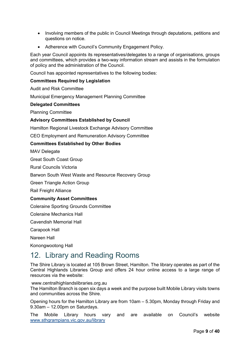- Involving members of the public in Council Meetings through deputations, petitions and questions on notice.
- Adherence with Council's Community Engagement Policy.

Each year Council appoints its representatives/delegates to a range of organisations, groups and committees, which provides a two-way information stream and assists in the formulation of policy and the administration of the Council.

Council has appointed representatives to the following bodies:

#### **Committees Required by Legislation**

Audit and Risk Committee

Municipal Emergency Management Planning Committee

#### **Delegated Committees**

Planning Committee

#### **Advisory Committees Established by Council**

Hamilton Regional Livestock Exchange Advisory Committee

CEO Employment and Remuneration Advisory Committee

### **Committees Established by Other Bodies**

MAV Delegate

Great South Coast Group

Rural Councils Victoria

Barwon South West Waste and Resource Recovery Group

Green Triangle Action Group

Rail Freight Alliance

#### **Community Asset Committees**

Coleraine Sporting Grounds Committee

Coleraine Mechanics Hall

Cavendish Memorial Hall

Carapook Hall

Nareen Hall

Konongwootong Hall

### <span id="page-8-0"></span>12. Library and Reading Rooms

The Shire Library is located at 105 Brown Street, Hamilton. The library operates as part of the Central Highlands Libraries Group and offers 24 hour online access to a large range of resources via the website:

[www.centralhighlandslibraries.org.au](http://www.centralhighlandslibraries.org.au/)

The Hamilton Branch is open six days a week and the purpose built Mobile Library visits towns and communities across the Shire.

Opening hours for the Hamilton Library are from 10am – 5.30pm, Monday through Friday and 9.30am – 12.00pm on Saturdays.

The Mobile Library hours vary and are available on Council's website [www.sthgrampians.vic.gov.au/library](http://www.sthgrampians.vic.gov.au/library)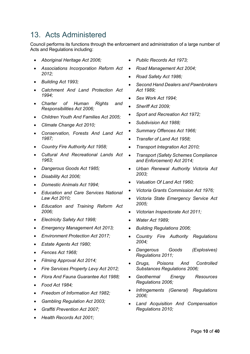# <span id="page-9-0"></span>13. Acts Administered

Council performs its functions through the enforcement and administration of a large number of Acts and Regulations including:

- *Aboriginal Heritage Act 2006;*
- *Associations Incorporation Reform Act 2012;*
- *Building Act 1993;*
- *Catchment And Land Protection Act 1994;*
- *Charter of Human Rights and Responsibilities Act 2006;*
- *Children Youth And Families Act 2005;*
- *Climate Change Act 2010;*
- *Conservation, Forests And Land Act 1987;*
- *Country Fire Authority Act 1958;*
- *Cultural And Recreational Lands Act 1963;*
- *Dangerous Goods Act 1985;*
- *Disability Act 2006;*
- *Domestic Animals Act 1994;*
- *Education and Care Services National Law Act 2010;*
- *Education and Training Reform Act 2006;*
- *Electricity Safety Act 1998;*
- *Emergency Management Act 2013;*
- *Environment Protection Act 2017;*
- *Estate Agents Act 1980;*
- *Fences Act 1968;*
- *Filming Approval Act 2014;*
- *Fire Services Property Levy Act 2012;*
- *Flora And Fauna Guarantee Act 1988;*
- *Food Act 1984;*
- *Freedom of Information Act 1982;*
- *Gambling Regulation Act 2003;*
- *Graffiti Prevention Act 2007;*
- *Health Records Act 2001;*
- *Public Records Act 1973;*
- *Road Management Act 2004;*
- *Road Safety Act 1986;*
- *Second Hand Dealers and Pawnbrokers Act 1989;*
- *Sex Work Act 1994;*
- *Sheriff Act 2009;*
- *Sport and Recreation Act 1972;*
- *Subdivision Act 1988;*
- *Summary Offences Act 1966;*
- *Transfer of Land Act 1958;*
- *Transport Integration Act 2010;*
- *Transport (Safety Schemes Compliance and Enforcement) Act 2014;*
- *Urban Renewal Authority Victoria Act 2003;*
- *Valuation Of Land Act 1960;*
- *Victoria Grants Commission Act 1976;*
- *Victoria State Emergency Service Act 2005;*
- *Victorian Inspectorate Act 2011;*
- *Water Act 1989;*
- *Building Regulations 2006;*
- *Country Fire Authority Regulations 2004;*
- *Dangerous Goods (Explosives) Regulations 2011;*
- *Drugs, Poisons And Controlled Substances Regulations 2006;*
- *Geothermal Energy Resources Regulations 2006;*
- *Infringements (General) Regulations 2006;*
- *Land Acquisition And Compensation Regulations 2010;*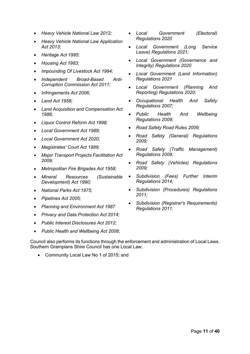- *Heavy Vehicle National Law 2012;*
- *Heavy Vehicle National Law Application Act 2013;*
- *Heritage Act 1995;*
- *Housing Act 1983;*
- *Impounding Of Livestock Act 1994;*
- *Independent Broad-Based Anti-Corruption Commission Act 2011;*
- *Infringements Act 2006;*
- *Land Act 1958;*
- *Land Acquisition and Compensation Act 1986;*
- *Liquor Control Reform Act 1998;*
- *Local Government Act 1989;*
- *Local Government Act 2020;*
- *Magistrates' Court Act 1989;*
- *Major Transport Projects Facilitation Act 2009;*
- *Metropolitan Fire Brigades Act 1958;*
- *Mineral Resources (Sustainable Development) Act 1990;*
- *National Parks Act 1975;*
- *Pipelines Act 2005;*
- *Planning and Environment Act 1987*
- *Privacy and Data Protection Act 2014;*
- *Public Interest Disclosures Act 2012;*
- *Public Health and Wellbeing Act 2008;*

Council also performs its functions through the enforcement and administration of Local Laws. Southern Grampians Shire Council has one Local Law:

• Community Local Law No 1 of 2015; and

- *Local Government (Electoral) Regulations 2020*
- *Local Government (Long Service Leave) Regulations 2021;*
- *Local Government (Governance and Integrity) Regulations 2020*
- *Local Government (Land Information) Regulations 2021*
- *Local Government (Planning And Reporting) Regulations 2020;*
- *Occupational Health And Safety Regulations 2007;*
- *Public Health And Wellbeing Regulations 2009;*
- *Road Safety Road Rules 2009;*
- *Road Safety (General) Regulations 2009;*
- *Road Safety (Traffic Management) Regulations 2009;*
- *Road Safety (Vehicles) Regulations 2009;*
- *Subdivision (Fees) Further Interim Regulations 2014;*
- *Subdivision (Procedures) Regulations 2011;*
- *Subdivision (Registrar's Requirements) Regulations 2011.*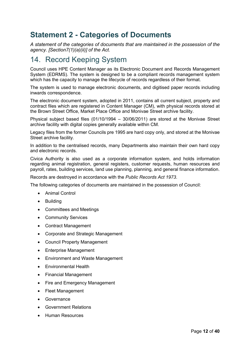# <span id="page-11-0"></span>**Statement 2 - Categories of Documents**

*A statement of the categories of documents that are maintained in the possession of the agency. [Section7(1)(a)(ii)] of the Act.*

### <span id="page-11-1"></span>14. Record Keeping System

Council uses HPE Content Manager as its Electronic Document and Records Management System (EDRMS). The system is designed to be a compliant records management system which has the capacity to manage the lifecycle of records regardless of their format.

The system is used to manage electronic documents, and digitised paper records including inwards correspondence.

The electronic document system, adopted in 2011, contains all current subject, property and contract files which are registered in Content Manager (CM), with physical records stored at the Brown Street Office, Market Place Office and Monivae Street archive facility.

Physical subject based files (01/10/1994 – 30/06/2011) are stored at the Monivae Street archive facility with digital copies generally available within CM.

Legacy files from the former Councils pre 1995 are hard copy only, and stored at the Monivae Street archive facility.

In addition to the centralised records, many Departments also maintain their own hard copy and electronic records.

Civica Authority is also used as a corporate information system, and holds information regarding animal registration, general registers, customer requests, human resources and payroll, rates, building services, land use planning, planning, and general finance information.

Records are destroyed in accordance with the *Public Records Act 1973*.

The following categories of documents are maintained in the possession of Council:

- Animal Control
- Building
- Committees and Meetings
- Community Services
- Contract Management
- Corporate and Strategic Management
- Council Property Management
- Enterprise Management
- Environment and Waste Management
- Environmental Health
- Financial Management
- Fire and Emergency Management
- Fleet Management
- Governance
- Government Relations
- Human Resources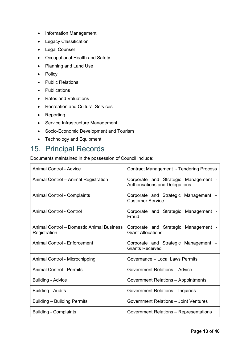- Information Management
- Legacy Classification
- Legal Counsel
- Occupational Health and Safety
- Planning and Land Use
- Policy
- Public Relations
- Publications
- Rates and Valuations
- Recreation and Cultural Services
- Reporting
- Service Infrastructure Management
- Socio-Economic Development and Tourism
- Technology and Equipment

# <span id="page-12-0"></span>15. Principal Records

Documents maintained in the possession of Council include:

| <b>Animal Control - Advice</b>                            | <b>Contract Management - Tendering Process</b>                         |  |  |  |
|-----------------------------------------------------------|------------------------------------------------------------------------|--|--|--|
| Animal Control - Animal Registration                      | Corporate and Strategic Management -<br>Authorisations and Delegations |  |  |  |
| Animal Control - Complaints                               | Corporate and Strategic Management -<br><b>Customer Service</b>        |  |  |  |
| Animal Control - Control                                  | Corporate and Strategic Management -<br>Fraud                          |  |  |  |
| Animal Control - Domestic Animal Business<br>Registration | Corporate and Strategic Management -<br><b>Grant Allocations</b>       |  |  |  |
| Animal Control - Enforcement                              | Corporate and Strategic Management -<br><b>Grants Received</b>         |  |  |  |
| Animal Control - Microchipping                            | Governance - Local Laws Permits                                        |  |  |  |
| <b>Animal Control - Permits</b>                           | <b>Government Relations - Advice</b>                                   |  |  |  |
| <b>Building - Advice</b>                                  | Government Relations - Appointments                                    |  |  |  |
| <b>Building - Audits</b>                                  | Government Relations - Inquiries                                       |  |  |  |
| <b>Building - Building Permits</b>                        | <b>Government Relations - Joint Ventures</b>                           |  |  |  |
| <b>Building - Complaints</b>                              | Government Relations - Representations                                 |  |  |  |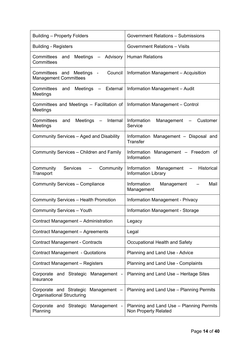| <b>Building – Property Folders</b>                                                                                 | <b>Government Relations - Submissions</b>                                                         |  |  |
|--------------------------------------------------------------------------------------------------------------------|---------------------------------------------------------------------------------------------------|--|--|
| <b>Building - Registers</b>                                                                                        | <b>Government Relations - Visits</b>                                                              |  |  |
| Committees<br>Meetings - Advisory<br>and<br>Committees                                                             | <b>Human Relations</b>                                                                            |  |  |
| Council<br>Committees and Meetings<br>$\blacksquare$<br><b>Management Committees</b>                               | Information Management - Acquisition                                                              |  |  |
| Committees and<br>Meetings<br>External<br>Meetings                                                                 | Information Management - Audit                                                                    |  |  |
| Committees and Meetings - Facilitation of<br>Meetings                                                              | Information Management - Control                                                                  |  |  |
| Committees<br>Internal<br>and<br>Meetings<br>$\qquad \qquad -$<br>Meetings                                         | Information<br>Management<br>Customer<br>$\overline{\phantom{m}}$<br>Service                      |  |  |
| Community Services - Aged and Disability                                                                           | Information Management - Disposal and<br><b>Transfer</b>                                          |  |  |
| Community Services - Children and Family                                                                           | Information<br>Management - Freedom of<br>Information                                             |  |  |
| <b>Services</b><br>Community<br>Community<br>Transport                                                             | Information<br><b>Historical</b><br>Management<br>$\qquad \qquad -$<br><b>Information Library</b> |  |  |
| <b>Community Services - Compliance</b>                                                                             | Information<br>Mail<br>Management<br>Management                                                   |  |  |
| <b>Community Services - Health Promotion</b>                                                                       | <b>Information Management - Privacy</b>                                                           |  |  |
| <b>Community Services - Youth</b>                                                                                  | Information Management - Storage                                                                  |  |  |
| Contract Management - Administration                                                                               | Legacy                                                                                            |  |  |
| Contract Management - Agreements                                                                                   | Legal                                                                                             |  |  |
| <b>Contract Management - Contracts</b>                                                                             | Occupational Health and Safety                                                                    |  |  |
| <b>Contract Management - Quotations</b>                                                                            | Planning and Land Use - Advice                                                                    |  |  |
| Contract Management - Registers                                                                                    | Planning and Land Use - Complaints                                                                |  |  |
| Corporate and Strategic Management<br>$\blacksquare$<br>Insurance                                                  | Planning and Land Use - Heritage Sites                                                            |  |  |
| Corporate and Strategic Management -<br>Organisational Structuring                                                 | Planning and Land Use - Planning Permits                                                          |  |  |
| Planning and Land Use - Planning Permits<br>Corporate and Strategic Management<br>Planning<br>Non Property Related |                                                                                                   |  |  |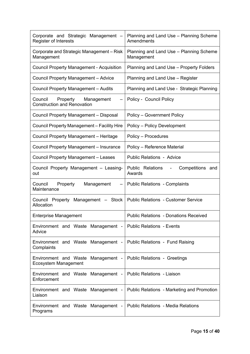| Corporate and Strategic Management -<br>Register of Interests                             | Planning and Land Use - Planning Scheme<br>Amendments |  |  |  |
|-------------------------------------------------------------------------------------------|-------------------------------------------------------|--|--|--|
| Corporate and Strategic Management - Risk<br>Management                                   | Planning and Land Use - Planning Scheme<br>Management |  |  |  |
| <b>Council Property Management - Acquisition</b>                                          | Planning and Land Use - Property Folders              |  |  |  |
| <b>Council Property Management - Advice</b>                                               | Planning and Land Use - Register                      |  |  |  |
| Council Property Management - Audits                                                      | Planning and Land Use - Strategic Planning            |  |  |  |
| Property Management<br>Council<br>$\qquad \qquad -$<br><b>Construction and Renovation</b> | Policy - Council Policy                               |  |  |  |
| Council Property Management - Disposal                                                    | Policy - Government Policy                            |  |  |  |
| Council Property Management - Facility Hire                                               | Policy - Policy Development                           |  |  |  |
| Council Property Management - Heritage                                                    | Policy - Procedures                                   |  |  |  |
| Council Property Management - Insurance                                                   | Policy - Reference Material                           |  |  |  |
| Council Property Management - Leases                                                      | <b>Public Relations - Advice</b>                      |  |  |  |
| Council Property Management - Leasing-<br>out                                             | Public Relations<br>Competitions and<br>Awards        |  |  |  |
| Council<br>Property<br>Management<br>Maintenance                                          | <b>Public Relations - Complaints</b>                  |  |  |  |
| Council Property Management - Stock<br>Allocation                                         | <b>Public Relations - Customer Service</b>            |  |  |  |
| <b>Enterprise Management</b>                                                              | <b>Public Relations - Donations Received</b>          |  |  |  |
| Environment and Waste Management -<br>Advice                                              | <b>Public Relations - Events</b>                      |  |  |  |
| Environment and Waste Management -<br>Complaints                                          | Public Relations - Fund Raising                       |  |  |  |
| Environment and Waste<br>Ecosystem Management                                             | Management -   Public Relations - Greetings           |  |  |  |
| Environment and Waste Management -<br>Enforcement                                         | <b>Public Relations - Liaison</b>                     |  |  |  |
| Environment and Waste Management -<br>Liaison                                             | Public Relations - Marketing and Promotion            |  |  |  |
| Environment and Waste Management -<br>Programs                                            | <b>Public Relations - Media Relations</b>             |  |  |  |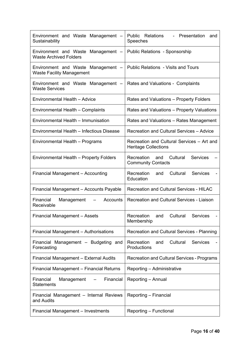| Environment and Waste Management -<br>Sustainability                   | Public Relations<br>Presentation<br>and<br>Speeches                           |  |  |
|------------------------------------------------------------------------|-------------------------------------------------------------------------------|--|--|
| Environment and Waste Management -<br><b>Waste Archived Folders</b>    | <b>Public Relations - Sponsorship</b>                                         |  |  |
| Environment and Waste Management -<br><b>Waste Facility Management</b> | <b>Public Relations - Visits and Tours</b>                                    |  |  |
| Environment and Waste Management -<br><b>Waste Services</b>            | Rates and Valuations - Complaints                                             |  |  |
| Environmental Health - Advice                                          | Rates and Valuations – Property Folders                                       |  |  |
| Environmental Health – Complaints                                      | Rates and Valuations - Property Valuations                                    |  |  |
| Environmental Health - Immunisation                                    | Rates and Valuations - Rates Management                                       |  |  |
| Environmental Health - Infectious Disease                              | Recreation and Cultural Services - Advice                                     |  |  |
| Environmental Health - Programs                                        | Recreation and Cultural Services - Art and<br><b>Heritage Collections</b>     |  |  |
| Environmental Health - Property Folders                                | Cultural<br><b>Services</b><br>Recreation<br>and<br><b>Community Contacts</b> |  |  |
| <b>Financial Management - Accounting</b>                               | Recreation<br>Cultural<br><b>Services</b><br>and<br>Education                 |  |  |
| Financial Management - Accounts Payable                                | <b>Recreation and Cultural Services - HILAC</b>                               |  |  |
| Financial<br>Accounts<br>Management<br>Receivable                      | <b>Recreation and Cultural Services - Liaison</b>                             |  |  |
| Financial Management - Assets                                          | Cultural<br>Recreation<br><b>Services</b><br>and<br>Membership                |  |  |
| Financial Management - Authorisations                                  | Recreation and Cultural Services - Planning                                   |  |  |
| Financial Management - Budgeting and<br>Forecasting                    | Cultural<br>Services<br>Recreation<br>and<br>Productions                      |  |  |
| Financial Management – External Audits                                 | <b>Recreation and Cultural Services - Programs</b>                            |  |  |
| Financial Management – Financial Returns                               | Reporting – Administrative                                                    |  |  |
| Financial<br>Financial<br>Management<br>Statements                     | Reporting - Annual                                                            |  |  |
| Financial Management - Internal Reviews<br>and Audits                  | Reporting - Financial                                                         |  |  |
| <b>Financial Management - Investments</b>                              | Reporting - Functional                                                        |  |  |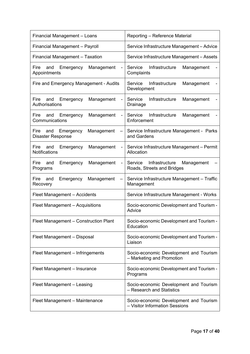| Financial Management - Loans                                                         | Reporting - Reference Material                                           |  |  |  |
|--------------------------------------------------------------------------------------|--------------------------------------------------------------------------|--|--|--|
| Financial Management - Payroll                                                       | Service Infrastructure Management - Advice                               |  |  |  |
| Financial Management - Taxation                                                      | Service Infrastructure Management - Assets                               |  |  |  |
| Fire<br>and<br>Emergency<br>Management<br>$\overline{\phantom{0}}$<br>Appointments   | Infrastructure<br>Service<br>Management<br>Complaints                    |  |  |  |
| Fire and Emergency Management - Audits                                               | Service<br>Infrastructure<br>Management<br>Development                   |  |  |  |
| Fire<br>Emergency<br>and<br>Management<br>$\overline{\phantom{0}}$<br>Authorisations | Service<br>Infrastructure<br>Management<br>Drainage                      |  |  |  |
| Fire and Emergency<br>Management<br>$\overline{\phantom{0}}$<br>Communications       | Infrastructure<br>Service<br>Management<br>Enforcement                   |  |  |  |
| Fire<br>and Emergency<br>Management<br><b>Disaster Response</b>                      | Service Infrastructure Management - Parks<br>and Gardens                 |  |  |  |
| Fire<br>and<br>Emergency<br>Management<br><b>Notifications</b>                       | Service Infrastructure Management - Permit<br>Allocation                 |  |  |  |
| Management<br>Fire<br>and<br>Emergency<br>$\blacksquare$<br>Programs                 | Infrastructure<br>Service<br>Management<br>Roads, Streets and Bridges    |  |  |  |
| Fire<br>and<br>Emergency<br>Management<br>$\overline{\phantom{0}}$<br>Recovery       | Service Infrastructure Management - Traffic<br>Management                |  |  |  |
| Fleet Management - Accidents                                                         | Service Infrastructure Management - Works                                |  |  |  |
| Fleet Management - Acquisitions                                                      | Socio-economic Development and Tourism -<br>Advice                       |  |  |  |
| Fleet Management - Construction Plant                                                | Socio-economic Development and Tourism -<br>Education                    |  |  |  |
| Fleet Management - Disposal                                                          | Socio-economic Development and Tourism -<br>Liaison                      |  |  |  |
| Fleet Management - Infringements                                                     | Socio-economic Development and Tourism<br>- Marketing and Promotion      |  |  |  |
| Fleet Management - Insurance                                                         | Socio-economic Development and Tourism -<br>Programs                     |  |  |  |
| Fleet Management - Leasing                                                           | Socio-economic Development and Tourism<br>- Research and Statistics      |  |  |  |
| Fleet Management - Maintenance                                                       | Socio-economic Development and Tourism<br>- Visitor Information Sessions |  |  |  |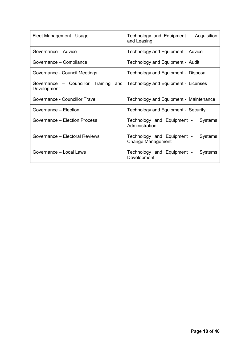| Fleet Management - Usage                            | Technology and Equipment - Acquisition<br>and Leasing             |  |  |  |
|-----------------------------------------------------|-------------------------------------------------------------------|--|--|--|
| Governance – Advice                                 | Technology and Equipment - Advice                                 |  |  |  |
| Governance - Compliance                             | Technology and Equipment - Audit                                  |  |  |  |
| Governance - Council Meetings                       | Technology and Equipment - Disposal                               |  |  |  |
| Governance – Councillor Training and<br>Development | Technology and Equipment - Licenses                               |  |  |  |
| Governance - Councillor Travel                      | Technology and Equipment - Maintenance                            |  |  |  |
| Governance - Election                               | Technology and Equipment - Security                               |  |  |  |
| Governance - Election Process                       | Technology and Equipment - Systems<br>Administration              |  |  |  |
| Governance – Electoral Reviews                      | Technology and Equipment -<br>Systems<br><b>Change Management</b> |  |  |  |
| Governance – Local Laws                             | Technology and Equipment -<br>Systems<br>Development              |  |  |  |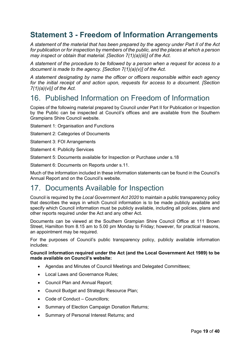# <span id="page-18-0"></span>**Statement 3 - Freedom of Information Arrangements**

*A statement of the material that has been prepared by the agency under Part II of the Act for publication or for inspection by members of the public, and the places at which a person may inspect or obtain that material. [Section 7(1)(a)(iii)] of the Act.*

*A statement of the procedure to be followed by a person when a request for access to a document is made to the agency. [Section 7(1)(a)(v)] of the Act.*

*A statement designating by name the officer or officers responsible within each agency for the initial receipt of and action upon, requests for access to a document. [Section 7(1)(a)(vi)] of the Act.*

# <span id="page-18-1"></span>16. Published Information on Freedom of Information

Copies of the following material prepared by Council under Part II for Publication or Inspection by the Public can be inspected at Council's offices and are available from the Southern Grampians Shire Council website.

Statement 1: Organisation and Functions

- Statement 2: Categories of Documents
- Statement 3: FOI Arrangements
- Statement 4: Publicity Services
- Statement 5: Documents available for Inspection or Purchase under s.18

Statement 6: Documents on Reports under s.11.

Much of the information included in these information statements can be found in the Council's Annual Report and on the Council's website.

### <span id="page-18-2"></span>17. Documents Available for Inspection

Council is required by the *Local Government Act 2020* to maintain a public transparency policy that describes the ways in which Council information is to be made publicly available and specify which Council information must be publicly available, including all policies, plans and other reports required under the Act and any other Act.

Documents can be viewed at the Southern Grampian Shire Council Office at 111 Brown Street, Hamilton from 8.15 am to 5.00 pm Monday to Friday; however, for practical reasons, an appointment may be required.

For the purposes of Council's public transparency policy, publicly available information includes:

#### **Council information required under the Act (and the Local Government Act 1989) to be made available on Council's website:**

- Agendas and Minutes of Council Meetings and Delegated Committees;
- Local Laws and Governance Rules;
- Council Plan and Annual Report;
- Council Budget and Strategic Resource Plan;
- Code of Conduct Councillors:
- Summary of Election Campaign Donation Returns;
- Summary of Personal Interest Returns; and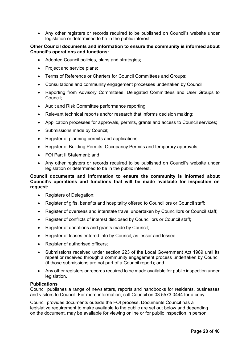• Any other registers or records required to be published on Council's website under legislation or determined to be in the public interest.

#### **Other Council documents and information to ensure the community is informed about Council's operations and functions:**

- Adopted Council policies, plans and strategies;
- Project and service plans;
- Terms of Reference or Charters for Council Committees and Groups;
- Consultations and community engagement processes undertaken by Council;
- Reporting from Advisory Committees, Delegated Committees and User Groups to Council;
- Audit and Risk Committee performance reporting;
- Relevant technical reports and/or research that informs decision making;
- Application processes for approvals, permits, grants and access to Council services;
- Submissions made by Council;
- Register of planning permits and applications;
- Register of Building Permits, Occupancy Permits and temporary approvals;
- FOI Part II Statement: and
- Any other registers or records required to be published on Council's website under legislation or determined to be in the public interest.

### **Council documents and information to ensure the community is informed about Council's operations and functions that will be made available for inspection on request:**

- Registers of Delegation;
- Register of gifts, benefits and hospitality offered to Councillors or Council staff;
- Register of overseas and interstate travel undertaken by Councillors or Council staff;
- Register of conflicts of interest disclosed by Councillors or Council staff;
- Register of donations and grants made by Council;
- Register of leases entered into by Council, as lessor and lessee;
- Register of authorised officers;
- Submissions received under section 223 of the Local Government Act 1989 until its repeal or received through a community engagement process undertaken by Council (if those submissions are not part of a Council report); and
- Any other registers or records required to be made available for public inspection under legislation.

#### **Publications**

Council publishes a range of newsletters, reports and handbooks for residents, businesses and visitors to Council. For more information, call Council on 03 5573 0444 for a copy.

Council provides documents outside the FOI process. Documents Council has a legislative requirement to make available to the public are set out below and depending on the document, may be available for viewing online or for public inspection in person.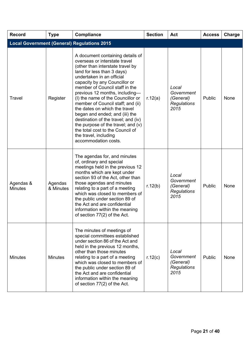| <b>Record</b>                                      | <b>Type</b>          | <b>Compliance</b>                                                                                                                                                                                                                                                                                                                                                                                                                                                                                                                                                                    | <b>Section</b> | Act                                                            | <b>Access</b> | Charge |  |
|----------------------------------------------------|----------------------|--------------------------------------------------------------------------------------------------------------------------------------------------------------------------------------------------------------------------------------------------------------------------------------------------------------------------------------------------------------------------------------------------------------------------------------------------------------------------------------------------------------------------------------------------------------------------------------|----------------|----------------------------------------------------------------|---------------|--------|--|
| <b>Local Government (General) Regulations 2015</b> |                      |                                                                                                                                                                                                                                                                                                                                                                                                                                                                                                                                                                                      |                |                                                                |               |        |  |
| Travel                                             | Register             | A document containing details of<br>overseas or interstate travel<br>(other than interstate travel by<br>land for less than 3 days)<br>undertaken in an official<br>capacity by any Councillor or<br>member of Council staff in the<br>previous 12 months, including-<br>(I) the name of the Councillor or<br>member of Council staff; and (ii)<br>the dates on which the travel<br>began and ended; and (iii) the<br>destination of the travel; and (iv)<br>the purpose of the travel; and (v)<br>the total cost to the Council of<br>the travel, including<br>accommodation costs. | r.12(a)        | Local<br>Government<br>(General)<br><b>Regulations</b><br>2015 | Public        | None   |  |
| Agendas &<br><b>Minutes</b>                        | Agendas<br>& Minutes | The agendas for, and minutes<br>of, ordinary and special<br>meetings held in the previous 12<br>months which are kept under<br>section 93 of the Act, other than<br>those agendas and minutes<br>relating to a part of a meeting<br>which was closed to members of<br>the public under section 89 of<br>the Act and are confidential<br>information within the meaning<br>of section 77(2) of the Act.                                                                                                                                                                               | r.12(b)        | Local<br>Government<br>(General)<br><b>Regulations</b><br>2015 | Public        | None   |  |
| <b>Minutes</b>                                     | <b>Minutes</b>       | The minutes of meetings of<br>special committees established<br>under section 86 of the Act and<br>held in the previous 12 months,<br>other than those minutes<br>relating to a part of a meeting<br>which was closed to members of<br>the public under section 89 of<br>the Act and are confidential<br>information within the meaning<br>of section 77(2) of the Act.                                                                                                                                                                                                              | r.12(c)        | Local<br>Government<br>(General)<br><b>Regulations</b><br>2015 | Public        | None   |  |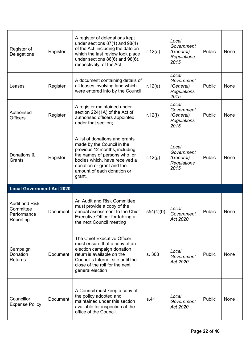| Register of<br>Delegations                                     | Register | A register of delegations kept<br>under sections $87(1)$ and $98(4)$<br>of the Act, including the date on<br>which the last review took place<br>under sections $86(6)$ and $98(6)$ ,<br>respectively, of the Act.                  | r.12(d)   | Local<br>Government<br>(General)<br><b>Regulations</b><br>2015 | Public | None        |
|----------------------------------------------------------------|----------|-------------------------------------------------------------------------------------------------------------------------------------------------------------------------------------------------------------------------------------|-----------|----------------------------------------------------------------|--------|-------------|
| Leases                                                         | Register | A document containing details of<br>all leases involving land which<br>were entered into by the Council                                                                                                                             | r.12(e)   | Local<br>Government<br>(General)<br><b>Regulations</b><br>2015 | Public | None        |
| Authorised<br><b>Officers</b>                                  | Register | A register maintained under<br>section 224(1A) of the Act of<br>authorised officers appointed<br>under that section;                                                                                                                | r.12(f)   | Local<br>Government<br>(General)<br><b>Regulations</b><br>2015 | Public | None        |
| Donations &<br>Grants                                          | Register | A list of donations and grants<br>made by the Council in the<br>previous 12 months, including<br>the names of persons who, or<br>bodies which, have received a<br>donation or grant and the<br>amount of each donation or<br>grant. | r.12(g)   | Local<br>Government<br>(General)<br><b>Regulations</b><br>2015 | Public | None        |
| <b>Local Government Act 2020</b>                               |          |                                                                                                                                                                                                                                     |           |                                                                |        |             |
| <b>Audit and Risk</b><br>Committee<br>Performance<br>Reporting | Document | An Audit and Risk Committee<br>must provide a copy of the<br>annual assessment to the Chief                                                                                                                                         | s54(4)(b) | Local<br>Government                                            | Public | None        |
|                                                                |          | Executive Officer for tabling at<br>the next Council meeting                                                                                                                                                                        |           | Act 2020                                                       |        |             |
| Campaign<br>Donation<br><b>Returns</b>                         | Document | The Chief Executive Officer<br>must ensure that a copy of an<br>election campaign donation<br>return is available on the<br>Council's Internet site until the<br>close of the roll for the next<br>general election                 | s. 308    | Local<br>Government<br>Act 2020                                | Public | <b>None</b> |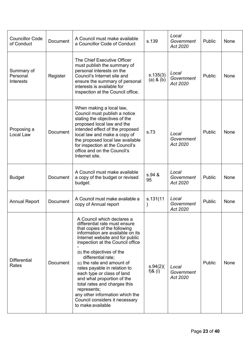| <b>Councillor Code</b><br>of Conduct | <b>Document</b> | A Council must make available<br>a Councillor Code of Conduct                                                                                                                                                                                                                                                                                                                                                                                                                                                                | s.139                      | Local<br>Government<br>Act 2020 | Public | None |
|--------------------------------------|-----------------|------------------------------------------------------------------------------------------------------------------------------------------------------------------------------------------------------------------------------------------------------------------------------------------------------------------------------------------------------------------------------------------------------------------------------------------------------------------------------------------------------------------------------|----------------------------|---------------------------------|--------|------|
| Summary of<br>Personal<br>Interests  | Register        | The Chief Executive Officer<br>must publish the summary of<br>personal interests on the<br>Council's Internet site and<br>ensure the summary of personal<br>interests is available for<br>inspection at the Council office.                                                                                                                                                                                                                                                                                                  | s.135(3)<br>$(a)$ & $(b)$  | Local<br>Government<br>Act 2020 | Public | None |
| Proposing a<br>Local Law             | Document        | When making a local law,<br>Council must publish a notice<br>stating the objectives of the<br>proposed local law and the<br>intended effect of the proposed<br>local law and make a copy of<br>the proposed local law available<br>for inspection at the Council's<br>office and on the Council's<br>Internet site.                                                                                                                                                                                                          | s.73                       | Local<br>Government<br>Act 2020 | Public | None |
| <b>Budget</b>                        | Document        | A Council must make available<br>a copy of the budget or revised<br>budget.                                                                                                                                                                                                                                                                                                                                                                                                                                                  | s.94 &<br>95               | Local<br>Government<br>Act 2020 | Public | None |
| <b>Annual Report</b>                 | <b>Document</b> | A Council must make available a<br>copy of Annual report                                                                                                                                                                                                                                                                                                                                                                                                                                                                     | s.131(11)<br>$\mathcal{C}$ | Local<br>Government<br>Act 2020 | Public | None |
| <b>Differential</b><br>Rates         | Document        | A Council which declares a<br>differential rate must ensure<br>that copies of the following<br>information are available on its<br>Internet website and for public<br>inspection at the Council office<br>(b) the objectives of the<br>differential rate;<br>(c) the rate and amount of<br>rates payable in relation to<br>each type or class of land<br>and what proportion of the<br>total rates and charges this<br>represents;<br>any other information which the<br>Council considers it necessary<br>to make available | s.94(2)(<br>f) $&$ (i)     | Local<br>Government<br>Act 2020 | Public | None |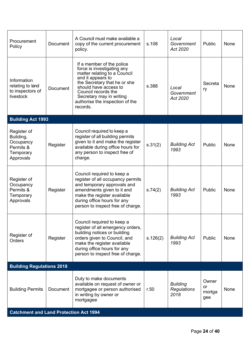| Procurement<br>Policy                                                        | <b>Document</b> | A Council must make available a<br>copy of the current procurement<br>policy.                                                                                                                                                                                           | s.108    | Local<br>Government<br>Act 2020               | Public                       | None |
|------------------------------------------------------------------------------|-----------------|-------------------------------------------------------------------------------------------------------------------------------------------------------------------------------------------------------------------------------------------------------------------------|----------|-----------------------------------------------|------------------------------|------|
| Information<br>relating to land<br>to inspectors of<br>livestock             | <b>Document</b> | If a member of the police<br>force is investigating any<br>matter relating to a Council<br>and it appears to<br>the Secretary that he or she<br>should have access to<br>Council records the<br>Secretary may in writing<br>authorise the inspection of the<br>records. | s.388    | Local<br>Government<br>Act 2020               | Secreta<br>ry                | None |
| <b>Building Act 1993</b>                                                     |                 |                                                                                                                                                                                                                                                                         |          |                                               |                              |      |
| Register of<br>Building,<br>Occupancy<br>Permits &<br>Temporary<br>Approvals | Register        | Council required to keep a<br>register of all building permits<br>given to it and make the register<br>available during office hours for<br>any person to inspect free of<br>charge.                                                                                    | s.31(2)  | <b>Building Act</b><br>1993                   | Public                       | None |
| Register of<br>Occupancy<br>Permits &<br>Temporary<br>Approvals              | Register        | Council required to keep a<br>register of all occupancy permits<br>and temporary approvals and<br>amendments given to it and<br>make the register available<br>during office hours for any<br>person to inspect free of charge.                                         | s.74(2)  | <b>Building Act</b><br>1993                   | Public                       | None |
| Register of<br>Orders                                                        | Register        | Council required to keep a<br>register of all emergency orders,<br>building notices or building<br>orders given to Council, and<br>make the register available<br>during office hours for any<br>person to inspect free of charge.                                      | s.126(2) | <b>Building Act</b><br>1993                   | Public                       | None |
| <b>Building Regulations 2018</b>                                             |                 |                                                                                                                                                                                                                                                                         |          |                                               |                              |      |
| <b>Building Permits</b>                                                      | Document        | Duty to make documents<br>available on request of owner or<br>mortgagee or person authorised<br>in writing by owner or<br>mortgagee                                                                                                                                     | r.50     | <b>Building</b><br><b>Regulations</b><br>2018 | Owner<br>or<br>mortga<br>gee | None |
| <b>Catchment and Land Protection Act 1994</b>                                |                 |                                                                                                                                                                                                                                                                         |          |                                               |                              |      |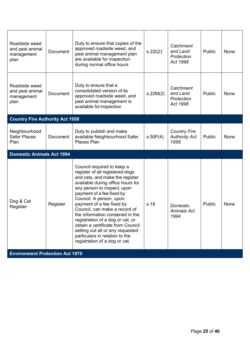| Roadside weed<br>and pest animal<br>management<br>plan          | <b>Document</b> | Duty to ensure that copies of the<br>approved roadside weed, and<br>pest animal management plan<br>are available for inspection<br>during normal office hours                                                                                                                                                                                                                                                                                                                                                  | s.22I(2) | Catchment<br>and Land<br>Protection<br>Act 1998     | Public | None |
|-----------------------------------------------------------------|-----------------|----------------------------------------------------------------------------------------------------------------------------------------------------------------------------------------------------------------------------------------------------------------------------------------------------------------------------------------------------------------------------------------------------------------------------------------------------------------------------------------------------------------|----------|-----------------------------------------------------|--------|------|
| Roadside weed<br>and pest animal<br>management<br>plan          | Document        | Duty to ensure that a<br>consolidated version of its<br>approved roadside weed, and<br>pest animal management is<br>available for inspection                                                                                                                                                                                                                                                                                                                                                                   | s.22M(2) | Catchment<br>and Land<br>Protection<br>Act 1998     | Public | None |
| <b>Country Fire Authority Act 1958</b>                          |                 |                                                                                                                                                                                                                                                                                                                                                                                                                                                                                                                |          |                                                     |        |      |
| Neighbourhood<br><b>Safer Places</b><br>Plan                    | <b>Document</b> | Duty to publish and make<br>available Neighbourhood Safer<br>Places Plan                                                                                                                                                                                                                                                                                                                                                                                                                                       | s.50F(4) | <b>Country Fire</b><br><b>Authority Act</b><br>1958 | Public | None |
| <b>Domestic Animals Act 1994</b>                                |                 |                                                                                                                                                                                                                                                                                                                                                                                                                                                                                                                |          |                                                     |        |      |
| Dog & Cat<br>Register<br><b>Environment Protection Act 1970</b> | Register        | Council required to keep a<br>register of all registered dogs<br>and cats, and make the register<br>available during office hours for<br>any person to inspect, upon<br>payment of a fee fixed by<br>Council. A person, upon<br>payment of a fee fixed by<br>Council, can make a record of<br>the information contained in the<br>registration of a dog or cat, or<br>obtain a certificate from Council<br>setting out all or any requested<br>particulars in relation to the<br>registration of a dog or cat. | s.18     | Domestic<br><b>Animals Act</b><br>1994              | Public | None |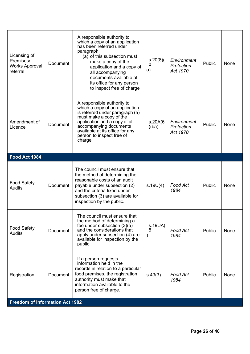| Licensing of<br>Premises/<br><b>Works Approval</b><br>referral | Document | A responsible authority to<br>which a copy of an application<br>has been referred under<br>paragraph<br>(a) of this subsection must<br>make a copy of the<br>application and a copy of<br>all accompanying<br>documents available at<br>its office for any person<br>to inspect free of charge | s.20(8)(<br>b<br>a)           | Environment<br>Protection<br>Act 1970 | Public | None |
|----------------------------------------------------------------|----------|------------------------------------------------------------------------------------------------------------------------------------------------------------------------------------------------------------------------------------------------------------------------------------------------|-------------------------------|---------------------------------------|--------|------|
| Amendment of<br>Licence                                        | Document | A responsible authority to<br>which a copy of an application<br>is referred under paragraph (a)<br>must make a copy of the<br>application and a copy of all<br>accompanying documents<br>available at its office for any<br>person to inspect free of<br>charge                                | s.20A(6)<br>)(ba)             | Environment<br>Protection<br>Act 1970 | Public | None |
| Food Act 1984                                                  |          |                                                                                                                                                                                                                                                                                                |                               |                                       |        |      |
| <b>Food Safety</b><br><b>Audits</b>                            | Document | The council must ensure that<br>the method of determining the<br>reasonable costs of an audit<br>payable under subsection (2)<br>and the criteria fixed under<br>subsection (3) are available for<br>inspection by the public.                                                                 | s.19U(4)                      | Food Act<br>1984                      | Public | None |
| <b>Food Safety</b><br>Audits                                   | Document | The council must ensure that<br>the method of determining a<br>fee under subsection $(3)(a)$<br>and the considerations that<br>apply under subsection (4) are<br>available for inspection by the<br>public.                                                                                    | s.19UA(<br>5<br>$\mathcal{E}$ | Food Act<br>1984                      | Public | None |
| Registration<br><b>Freedom of Information Act 1982</b>         | Document | If a person requests<br>information held in the<br>records in relation to a particular<br>food premises, the registration<br>authority must make that<br>information available to the<br>person free of charge.                                                                                | s.43(3)                       | Food Act<br>1984                      | Public | None |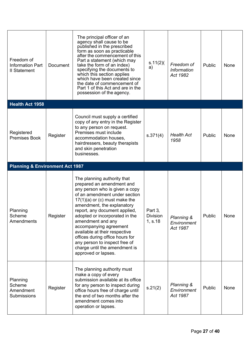| Freedom of<br><b>Information Part</b><br><b>II Statement</b> | <b>Document</b> | The principal officer of an<br>agency shall cause to be<br>published in the prescribed<br>form as soon as practicable<br>after the commencement of this<br>Part a statement (which may<br>take the form of an index)<br>specifying the documents to<br>which this section applies<br>which have been created since<br>the date of commencement of<br>Part 1 of this Act and are in the<br>possession of the agency. | s.11(2)<br>a)                         | Freedom of<br><b>Information</b><br>Act 1982 | Public | None |
|--------------------------------------------------------------|-----------------|---------------------------------------------------------------------------------------------------------------------------------------------------------------------------------------------------------------------------------------------------------------------------------------------------------------------------------------------------------------------------------------------------------------------|---------------------------------------|----------------------------------------------|--------|------|
| <b>Health Act 1958</b>                                       |                 |                                                                                                                                                                                                                                                                                                                                                                                                                     |                                       |                                              |        |      |
| Registered<br><b>Premises Book</b>                           | Register        | Council must supply a certified<br>copy of any entry in the Register<br>to any person on request.<br>Premises must include<br>accommodation houses,<br>hairdressers, beauty therapists<br>and skin penetration<br>businesses.                                                                                                                                                                                       | s.371(4)                              | <b>Health Act</b><br>1958                    | Public | None |
| <b>Planning &amp; Environment Act 1987</b>                   |                 |                                                                                                                                                                                                                                                                                                                                                                                                                     |                                       |                                              |        |      |
|                                                              |                 | The planning authority that<br>prepared an amendment and<br>any person who is given a copy<br>of an amendment under section<br>$17(1)(a)$ or (c) must make the                                                                                                                                                                                                                                                      |                                       |                                              |        |      |
| Planning<br>Scheme<br>Amendments                             | Register        | amendment, the explanatory<br>report, any document applied,<br>adopted or incorporated in the<br>amendment and any<br>accompanying agreement<br>available at their respective<br>offices during office hours for<br>any person to inspect free of<br>charge until the amendment is<br>approved or lapses.                                                                                                           | Part 3,<br><b>Division</b><br>1, s.18 | Planning &<br>Environment<br>Act 1987        | Public | None |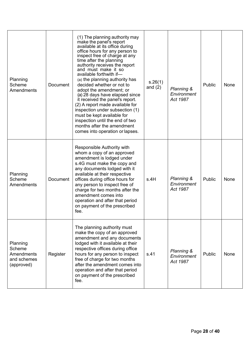| Planning<br>Scheme<br><b>Amendments</b>                              | <b>Document</b> | (1) The planning authority may<br>make the panel's report<br>available at its office during<br>office hours for any person to<br>inspect free of charge at any<br>time after the planning<br>authority receives the report<br>and must make it so<br>available forthwith if-<br>(a) the planning authority has<br>decided whether or not to<br>adopt the amendment; or<br>(a) 28 days have elapsed since<br>it received the panel's report.<br>(2) A report made available for<br>inspection under subsection (1)<br>must be kept available for<br>inspection until the end of two<br>months after the amendment<br>comes into operation or lapses. | s.26(1)<br>and $(2)$ | Planning &<br>Environment<br>Act 1987 | Public | None |
|----------------------------------------------------------------------|-----------------|-----------------------------------------------------------------------------------------------------------------------------------------------------------------------------------------------------------------------------------------------------------------------------------------------------------------------------------------------------------------------------------------------------------------------------------------------------------------------------------------------------------------------------------------------------------------------------------------------------------------------------------------------------|----------------------|---------------------------------------|--------|------|
| Planning<br>Scheme<br>Amendments                                     | Document        | Responsible Authority with<br>whom a copy of an approved<br>amendment is lodged under<br>s.4G must make the copy and<br>any documents lodged with it<br>available at their respective<br>offices during office hours for<br>any person to inspect free of<br>charge for two months after the<br>amendment comes into<br>operation and after that period<br>on payment of the prescribed<br>fee.                                                                                                                                                                                                                                                     | s.4H                 | Planning &<br>Environment<br>Act 1987 | Public | None |
| Planning<br>Scheme<br><b>Amendments</b><br>and schemes<br>(approved) | Register        | The planning authority must<br>make the copy of an approved<br>amendment and any documents<br>lodged with it available at their<br>respective offices during office<br>hours for any person to inspect<br>free of charge for two months<br>after the amendment comes into<br>operation and after that period<br>on payment of the prescribed<br>fee.                                                                                                                                                                                                                                                                                                | s.41                 | Planning &<br>Environment<br>Act 1987 | Public | None |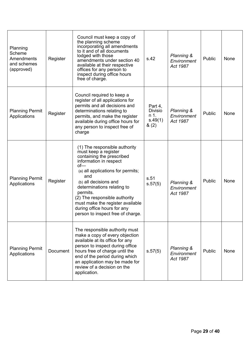| Planning<br>Scheme<br>Amendments<br>and schemes<br>(approved) | Register        | Council must keep a copy of<br>the planning scheme<br>incorporating all amendments<br>to it and of all documents<br>lodged with those<br>amendments under section 40<br>available at their respective<br>offices for any person to<br>inspect during office hours<br>free of charge.                                                                                           | s.42                                                 | Planning &<br>Environment<br>Act 1987            | Public | None |
|---------------------------------------------------------------|-----------------|--------------------------------------------------------------------------------------------------------------------------------------------------------------------------------------------------------------------------------------------------------------------------------------------------------------------------------------------------------------------------------|------------------------------------------------------|--------------------------------------------------|--------|------|
| <b>Planning Permit</b><br>Applications                        | Register        | Council required to keep a<br>register of all applications for<br>permits and all decisions and<br>determinations relating to<br>permits, and make the register<br>available during office hours for<br>any person to inspect free of<br>charge                                                                                                                                | Part 4,<br><b>Divisio</b><br>n 1.<br>s.49(1)<br>8(2) | <b>Planning &amp;</b><br>Environment<br>Act 1987 | Public | None |
| <b>Planning Permit</b><br>Applications                        | Register        | (1) The responsible authority<br>must keep a register<br>containing the prescribed<br>information in respect<br>$of -$<br>(a) all applications for permits;<br>and<br>(b) all decisions and<br>determinations relating to<br>permits.<br>(2) The responsible authority<br>must make the register available<br>during office hours for any<br>person to inspect free of charge. | s.51<br>s.57(5)                                      | Planning &<br>Environment<br>Act 1987            | Public | None |
| <b>Planning Permit</b><br>Applications                        | <b>Document</b> | The responsible authority must<br>make a copy of every objection<br>available at its office for any<br>person to inspect during office<br>hours free of charge until the<br>end of the period during which<br>an application may be made for<br>review of a decision on the<br>application.                                                                                    | s.57(5)                                              | Planning &<br>Environment<br>Act 1987            | Public | None |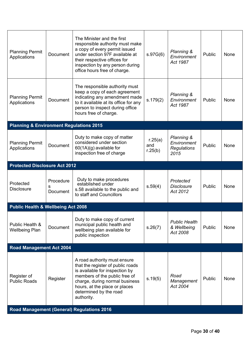| <b>Planning Permit</b><br>Applications             | Document                          | The Minister and the first<br>responsible authority must make<br>a copy of every permit issued<br>under section 97F available at<br>their respective offices for<br>inspection by any person during<br>office hours free of charge. | s.97G(6)                  | Planning &<br>Environment<br>Act 1987                   | Public | None |
|----------------------------------------------------|-----------------------------------|-------------------------------------------------------------------------------------------------------------------------------------------------------------------------------------------------------------------------------------|---------------------------|---------------------------------------------------------|--------|------|
| <b>Planning Permit</b><br>Applications             | <b>Document</b>                   | The responsible authority must<br>keep a copy of each agreement<br>indicating any amendment made<br>to it available at its office for any<br>person to inspect during office<br>hours free of charge.                               | s.179(2)                  | Planning &<br>Environment<br>Act 1987                   | Public | None |
| <b>Planning &amp; Environment Regulations 2015</b> |                                   |                                                                                                                                                                                                                                     |                           |                                                         |        |      |
| <b>Planning Permit</b><br>Applications             | <b>Document</b>                   | Duty to make copy of matter<br>considered under section<br>60(1A)(g) available for<br>inspection free of charge                                                                                                                     | r.25(a)<br>and<br>r.25(b) | Planning &<br>Environment<br><b>Regulations</b><br>2015 | Public | None |
| <b>Protected Disclosure Act 2012</b>               |                                   |                                                                                                                                                                                                                                     |                           |                                                         |        |      |
| Protected<br><b>Disclosure</b>                     | Procedure<br>s<br><b>Document</b> | Duty to make procedures<br>established under<br>s.58 available to the public and<br>to staff and Councillors                                                                                                                        | s.59(4)                   | Protected<br><b>Disclosure</b><br>Act 2012              | Public | None |
| <b>Public Health &amp; Wellbeing Act 2008</b>      |                                   |                                                                                                                                                                                                                                     |                           |                                                         |        |      |
| Public Health &<br><b>Wellbeing Plan</b>           | <b>Document</b>                   | Duty to make copy of current<br>municipal public health and<br>wellbeing plan available for<br>public inspection                                                                                                                    | s.26(7)                   | <b>Public Health</b><br>& Wellbeing<br>Act 2008         | Public | None |
| Road Management Act 2004                           |                                   |                                                                                                                                                                                                                                     |                           |                                                         |        |      |
|                                                    |                                   | A road authority must ensure<br>that the register of public roads                                                                                                                                                                   |                           |                                                         |        |      |
| Register of<br><b>Public Roads</b>                 | Register                          | is available for inspection by<br>members of the public free of<br>charge, during normal business<br>hours, at the place or places<br>determined by the road<br>authority.                                                          | s.19(5)                   | Road<br>Management<br>Act 2004                          | Public | None |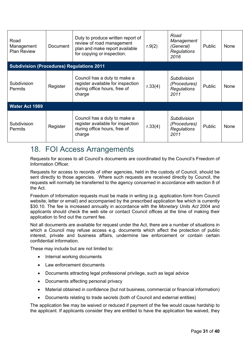| Road<br>Management<br><b>Plan Review</b>         | Document | Duty to produce written report of<br>review of road management<br>plan and make report available<br>for copying or inspection. | r.9(2)  | Road<br>Management<br>(General)<br><b>Regulations</b><br>2016    | Public | <b>None</b> |
|--------------------------------------------------|----------|--------------------------------------------------------------------------------------------------------------------------------|---------|------------------------------------------------------------------|--------|-------------|
| <b>Subdivision (Procedures) Regulations 2011</b> |          |                                                                                                                                |         |                                                                  |        |             |
| Subdivision<br>Permits                           | Register | Council has a duty to make a<br>register available for inspection<br>during office hours, free of<br>charge                    | r.33(4) | <b>Subdivision</b><br>(Procedures)<br><b>Regulations</b><br>2011 | Public | <b>None</b> |
| <b>Water Act 1989</b>                            |          |                                                                                                                                |         |                                                                  |        |             |
| Subdivision<br><b>Permits</b>                    | Register | Council has a duty to make a<br>register available for inspection<br>during office hours, free of<br>charge                    | r.33(4) | <b>Subdivision</b><br>(Procedures)<br><b>Regulations</b><br>2011 | Public | <b>None</b> |

# <span id="page-30-0"></span>18. FOI Access Arrangements

Requests for access to all Council's documents are coordinated by the Council's Freedom of Information Officer.

Requests for access to records of other agencies, held in the custody of Council, should be sent directly to those agencies. Where such requests are received directly by Council, the requests will normally be transferred to the agency concerned in accordance with section 8 of the Act.

Freedom of Information requests must be made in writing (e.g. application form from Council website, letter or email) and accompanied by the prescribed application fee which is currently \$30.10. The fee is increased annually in accordance with the *Monetary Units Act* 2004 and applicants should check the web site or contact Council offices at the time of making their application to find out the current fee.

Not all documents are available for request under the Act, there are a number of situations in which a Council may refuse access e.g. documents which affect the protection of public interest, private and business affairs, undermine law enforcement or contain certain confidential information.

These may include but are not limited to:

- Internal working documents
- Law enforcement documents
- Documents attracting legal professional privilege, such as legal advice
- Documents affecting personal privacy
- Material obtained in confidence (but not business, commercial or financial information)
- Documents relating to trade secrets (both of Council and external entities)

The application fee may be waived or reduced if payment of the fee would cause hardship to the applicant. If applicants consider they are entitled to have the application fee waived, they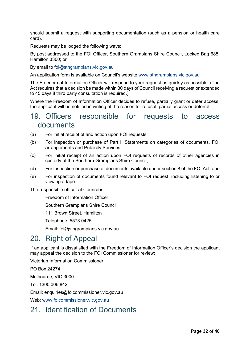should submit a request with supporting documentation (such as a pension or health care card).

Requests may be lodged the following ways:

By post addressed to the FOI Officer, Southern Grampians Shire Council, Locked Bag 685, Hamilton 3300; or

By email to [foi@sthgrampians.vic.gov.au](mailto:foi@sthgrampians.vic.gov.au)

An application form is available on Council's website [www.sthgrampians.vic.gov.au](http://www.sthgrampians.vic.gov.au/)

The Freedom of Information Officer will respond to your request as quickly as possible. (The Act requires that a decision be made within 30 days of Council receiving a request or extended to 45 days if third party consultation is required.)

Where the Freedom of Information Officer decides to refuse, partially grant or defer access, the applicant will be notified in writing of the reason for refusal, partial access or deferral.

### <span id="page-31-0"></span>19. Officers responsible for requests to access documents

- (a) For initial receipt of and action upon FOI requests;
- (b) For inspection or purchase of Part II Statements on categories of documents, FOI arrangements and Publicity Services;
- (c) For initial receipt of an action upon FOI requests of records of other agencies in custody of the Southern Grampians Shire Council;
- (d) For inspection or purchase of documents available under section 8 of the FOI Act; and
- (e) For inspection of documents found relevant to FOI request, including listening to or viewing a tape.

The responsible officer at Council is:

Freedom of Information Officer

Southern Grampians Shire Council

111 Brown Street, Hamilton

Telephone: 5573 0425

Email: [foi@sthgrampians.vic.gov.au](mailto:foi@sthgrampians.vic.gov.au)

### <span id="page-31-1"></span>20. Right of Appeal

If an applicant is dissatisfied with the Freedom of Information Officer's decision the applicant may appeal the decision to the FOI Commissioner for review:

Victorian Information Commissioner

PO Box 24274

Melbourne, VIC 3000

Tel: 1300 006 842

Email: enquiries@foicommissioner.vic.gov.au

Web: [www.foicommissioner.vic.gov.au](http://www.foicommissioner.vic.gov.au/)

# <span id="page-31-2"></span>21. Identification of Documents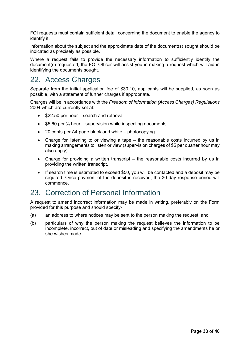FOI requests must contain sufficient detail concerning the document to enable the agency to identify it.

Information about the subject and the approximate date of the document(s) sought should be indicated as precisely as possible.

Where a request fails to provide the necessary information to sufficiently identify the document(s) requested, the FOI Officer will assist you in making a request which will aid in identifying the documents sought.

# <span id="page-32-0"></span>22. Access Charges

Separate from the initial application fee of \$30.10, applicants will be supplied, as soon as possible, with a statement of further charges if appropriate.

Charges will be in accordance with the *Freedom of Information (Access Charges) Regulations*  2004 which are currently set at:

- \$22.50 per hour search and retrieval
- $$5.60$  per  $\frac{1}{4}$  hour supervision while inspecting documents
- 20 cents per A4 page black and white photocopying
- Charge for listening to or viewing a tape the reasonable costs incurred by us in making arrangements to listen or view (supervision charges of \$5 per quarter hour may also apply).
- Charge for providing a written transcript the reasonable costs incurred by us in providing the written transcript.
- If search time is estimated to exceed \$50, you will be contacted and a deposit may be required. Once payment of the deposit is received, the 30-day response period will commence.

### <span id="page-32-1"></span>23. Correction of Personal Information

A request to amend incorrect information may be made in writing, preferably on the Form provided for this purpose and should specify-

- (a) an address to where notices may be sent to the person making the request; and
- (b) particulars of why the person making the request believes the information to be incomplete, incorrect, out of date or misleading and specifying the amendments he or she wishes made.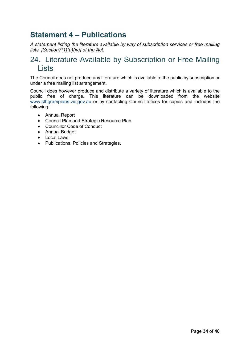# <span id="page-33-0"></span>**Statement 4 – Publications**

*A statement listing the literature available by way of subscription services or free mailing lists. [Section7(1)(a)(iv)] of the Act.*

# <span id="page-33-1"></span>24. Literature Available by Subscription or Free Mailing Lists

The Council does not produce any literature which is available to the public by subscription or under a free mailing list arrangement.

Council does however produce and distribute a variety of literature which is available to the public free of charge. This literature can be downloaded from the website [www.sthgrampians.vic.gov.au](http://www.sthgrampians.vic.gov.au/) or by contacting Council offices for copies and includes the following:

- Annual Report
- Council Plan and Strategic Resource Plan
- Councillor Code of Conduct
- Annual Budget
- Local Laws
- Publications, Policies and Strategies.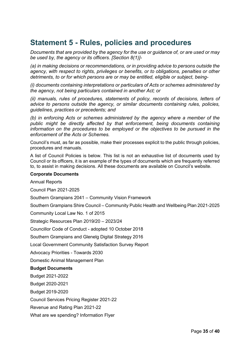# <span id="page-34-0"></span>**Statement 5 - Rules, policies and procedures**

*Documents that are provided by the agency for the use or guidance of, or are used or may be used by, the agency or its officers. [Section 8(1)]-*

*(a) in making decisions or recommendations, or in providing advice to persons outside the agency, with respect to rights, privileges or benefits, or to obligations, penalties or other detriments, to or for which persons are or may be entitled, eligible or subject, being-*

*(i) documents containing interpretations or particulars of Acts or schemes administered by the agency, not being particulars contained in another Act; or*

*(ii) manuals, rules of procedures, statements of policy, records of decisions, letters of advice to persons outside the agency, or similar documents containing rules, policies, guidelines, practices or precedents; and*

*(b) in enforcing Acts or schemes administered by the agency where a member of the public might be directly affected by that enforcement, being documents containing information on the procedures to be employed or the objectives to be pursued in the enforcement of the Acts or Schemes.*

Council's must, as far as possible, make their processes explicit to the public through policies, procedures and manuals.

A list of Council Policies is below. This list is not an exhaustive list of documents used by Council or its officers, it is an example of the types of documents which are frequently referred to, to assist in making decisions. All these documents are available on Council's website.

#### **Corporate Documents**

Annual Reports

Council Plan 2021-2025

Southern Grampians 2041 – Community Vision Framework

Southern Grampians Shire Council – Community Public Health and Wellbeing Plan 2021-2025

[Community Local Law No. 1 of 2015](http://www.sthgrampians.vic.gov.au/files/Local_Laws/CommunityLocalLawNo1of2015.pdf)

Strategic Resources Plan 2019/20 – 2023/24

[Councillor Code of Conduct -](http://www.sthgrampians.vic.gov.au/files/Governance/CouncillorCodeofConduct2018.pdf) adopted 10 October 2018

Southern Grampians and [Glenelg Digital Strategy 2016](http://www.sthgrampians.vic.gov.au/files/Public_Documents/PublicDocumentsSouthern_Grampians_and_Glenelg_Digital_Strategy_2016.pdf)

[Local Government Community Satisfaction Survey Report](http://www.sthgrampians.vic.gov.au/files/Governance/CommunitySatisfactionSurvey2018.pdf)

[Advocacy Priorities -](http://www.sthgrampians.vic.gov.au/files/Public_Documents/SGSC_-_Advocacy_Priorities_-_Toward_2030_-_low.pdf) Towards 2030

Domestic Animal Management Plan

#### **Budget Documents**

[Budget 2021-2022](https://www.sthgrampians.vic.gov.au/files/Public_Documents/Adopted_2021-22_Budget.pdf)

[Budget 2020-2021](https://www.sthgrampians.vic.gov.au/files/Public_Documents/Adopted_Budget_2020-21.pdf)

[Budget 2019-2020](https://www.sthgrampians.vic.gov.au/files/Public_Documents/2019-20_Budget-Final.pdf)

[Council Services Pricing Register 2021-22](https://www.sthgrampians.vic.gov.au/files/Public_Documents/Adopted_2021-22_Pricing_Register_-_Public.pdf)

[Revenue and Rating Plan 2021-22](https://www.sthgrampians.vic.gov.au/files/Public_Documents/Adopted_2021-22_Rating_and_Revenue_Plan.pdf)

[What are we spending? Information Flyer](https://www.sthgrampians.vic.gov.au/files/Public_Documents/What-are-we-spending.pdf)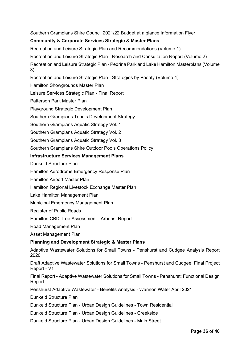[Southern Grampians Shire Council 2021/22 Budget at a glance Information Flyer](https://www.sthgrampians.vic.gov.au/files/Public_Documents/Budget-infographic-202122.pdf)

### **Community & Corporate Services Strategic & Master Plans**

[Recreation and Leisure Strategic Plan and Recommendations \(Volume 1\)](https://www.sthgrampians.vic.gov.au/files/Public_Documents/RecreationandLeisureStrategicPlanVol1-TheStrategicPlanandRecommendations-Final.pdf)

Recreation and Leisure Strategic Plan - [Research and Consultation Report \(Volume 2\)](https://www.sthgrampians.vic.gov.au/files/Public_Documents/RecreationandLeisureStrategicPlan-Vol2ResearchandConsultationReport-Final.pdf)

Recreation and Leisure Strategic Plan - [Pedrina Park and Lake Hamilton Masterplans \(Volume](https://www.sthgrampians.vic.gov.au/files/Public_Documents/RecreationandLeisureStrategicPlan-Volume3Masterplans-Final.pdf)  [3\)](https://www.sthgrampians.vic.gov.au/files/Public_Documents/RecreationandLeisureStrategicPlan-Volume3Masterplans-Final.pdf)

[Recreation and Leisure Strategic Plan -](https://www.sthgrampians.vic.gov.au/files/Public_Documents/RecreationandLeisureStrategicPlan-Volume4StrategiesbyPriority-Final.pdf) Strategies by Priority (Volume 4)

[Hamilton Showgrounds Master Plan](https://www.sthgrampians.vic.gov.au/files/Public_Documents/PublicDocumentsHamiltonShowgroundsMasterPlan2008.pdf)

[Leisure Services Strategic Plan -](https://www.sthgrampians.vic.gov.au/files/Public_Documents/PublicDocumentsLeisureServicesStrategicPlan2006.pdf) Final Report

[Patterson Park Master Plan](https://www.sthgrampians.vic.gov.au/files/Public_Documents/PublicDocumentsPattersonParkMasterPlan2012.pdf)

[Playground Strategic Development Plan](https://www.sthgrampians.vic.gov.au/files/Public_Documents/PublicDocumentsPlaygroundStrategicDevelopmentPlan2007.pdf)

[Southern Grampians Tennis Development Strategy](https://www.sthgrampians.vic.gov.au/files/Public_Documents/PublicDocumentsTennisDevelopmentStrategyFinal.pdf)

[Southern Grampians Aquatic Strategy Vol. 1](https://www.sthgrampians.vic.gov.au/files/Public_Documents/PublicDocumentsAquaticStrategyVol1.pdf)

[Southern Grampians Aquatic Strategy Vol. 2](https://www.sthgrampians.vic.gov.au/files/Public_Documents/PublicDocumentsAquaticStrategyVol2.pdf)

[Southern Grampians Aquatic Strategy Vol. 3](https://www.sthgrampians.vic.gov.au/files/Public_Documents/PublicDocumentsAquaticStrategyVol3.pdf)

[Southern Grampians Shire Outdoor Pools Operations Policy](https://www.sthgrampians.vic.gov.au/files/Recreation/Operations_of_Outdoor_Pools_Policy.pdf)

### **Infrastructure Services Management Plans**

[Dunkeld Structure Plan](http://www.sthgrampians.vic.gov.au/files/Public_Documents/PublicDocumentsDunkeldStructurePlanFinal2014.pdf)

[Hamilton Aerodrome Emergency Response Plan](http://www.sthgrampians.vic.gov.au/files/Public_Documents/PublicDocumentsHamiltonAerodromeEmergencyResponsePlan.pdf)

[Hamilton Airport Master Plan](http://www.sthgrampians.vic.gov.au/files/Public_Documents/PublicDocumentsHamiltonAirportMasterPlan2011.pdf)

[Hamilton Regional Livestock Exchange Master Plan](http://www.sthgrampians.vic.gov.au/files/Public_Documents/PublicDocumentsHamiltonRegionalLivestockExchangeMasterPlan2012.pdf)

[Lake Hamilton Management Plan](http://www.sthgrampians.vic.gov.au/files/Public_Documents/PublicDocumentsLakeHamiltonManagementPlan2006.pdf)

[Municipal Emergency Management Plan](http://www.sthgrampians.vic.gov.au/files/MEMP.PDF)

[Register of Public Roads](http://www.sthgrampians.vic.gov.au/files/Adopted-Road-Register-2018.pdf)

[Hamilton CBD Tree Assessment -](http://www.sthgrampians.vic.gov.au/files/SouthernGrampiansHamiltonCBDTreeAssessment-Arborist%20Report.PDF) Arborist Report

Road Management Plan

Asset Management Plan

### **Planning and Development Strategic & Master Plans**

[Adaptive Wastewater Solutions for Small Towns -](https://www.sthgrampians.vic.gov.au/files/Public_Documents/Report-Adaptive-Wastewater-Solutions-for-Penshurst-and-Cudgee-Options-Analysis-Report-Version-2.pdf) Penshurst and Cudgee Analysis Report [2020](https://www.sthgrampians.vic.gov.au/files/Public_Documents/Report-Adaptive-Wastewater-Solutions-for-Penshurst-and-Cudgee-Options-Analysis-Report-Version-2.pdf)

[Draft Adaptive Wastewater Solutions for Small Towns -](https://www.sthgrampians.vic.gov.au/files/Public_Documents/Draft-Report-Adaptive-Wastewater-Solutions-for-Small-Towns-Penshurst-Cudgee-Final-Project-Report-10-05-2021.pdf) Penshurst and Cudgee: Final Project [Report -](https://www.sthgrampians.vic.gov.au/files/Public_Documents/Draft-Report-Adaptive-Wastewater-Solutions-for-Small-Towns-Penshurst-Cudgee-Final-Project-Report-10-05-2021.pdf) V1

Final Report - [Adaptive Wastewater Solutions for Small Towns -](https://www.sthgrampians.vic.gov.au/files/Public_Documents/Final-Report-Adaptive-Wastewater-Solutions-for-Small-Towns-Penshurst-FUNCTIONAL-REPORT-2021.pdf) Penshurst: Functional Design [Report](https://www.sthgrampians.vic.gov.au/files/Public_Documents/Final-Report-Adaptive-Wastewater-Solutions-for-Small-Towns-Penshurst-FUNCTIONAL-REPORT-2021.pdf)

[Penshurst Adaptive Wastewater -](https://www.sthgrampians.vic.gov.au/files/Public_Documents/Report-Penshurst-Adaptive-Wastewater-Benefits-Analysis-FINAL-April2021.pdf) Benefits Analysis - Wannon Water April 2021

[Dunkeld Structure Plan](https://www.sthgrampians.vic.gov.au/files/Public_Documents/PublicDocumentsDunkeldStructurePlanFinal2014.pdf)

Dunkeld Structure Plan - [Urban Design Guidelines -](https://www.sthgrampians.vic.gov.au/files/Public_Documents/Dunkeld-Structure-Plan-Urban-Design-Guidelines-Town-Residential-Hansen-Partnership-2012.pdf) Town Residential

Dunkeld Structure Plan - [Urban Design Guidelines -](https://www.sthgrampians.vic.gov.au/files/Public_Documents/Dunkeld-Structure-Plan-Urban-Design-Guidelines-Creekside-Hansen-Partnership2012.pdf) Creekside

Dunkeld Structure Plan - [Urban Design Guidelines -](https://www.sthgrampians.vic.gov.au/files/Public_Documents/Dunkeld-Structure-Plan-Urban-Design-Guidelines-Main-Street-Hansen-Partnership-2012.pdf) Main Street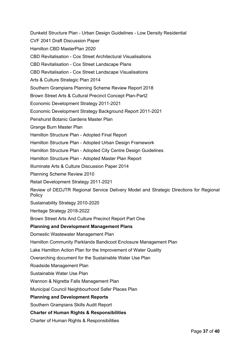Dunkeld Structure Plan - [Urban Design Guidelines -](https://www.sthgrampians.vic.gov.au/files/Public_Documents/Dunkeld-Structure-Plan-Urban-Design-Guidelines-Low-Density-Residential-Hansen-Partnership2012.pdf) Low Density Residential [CVF 2041 Draft Discussion Paper](https://www.sthgrampians.vic.gov.au/files/Planning/CVF_2041_Draft_Discussion_Paper_issued.pdf) [Hamilton CBD MasterPlan 2020](https://www.sthgrampians.vic.gov.au/files/Governance/20200513_Attachmen_14_Hamilton_CBD_Masterplan_Report_-_Final.PDF) CBD Revitalisation - [Cox Street Architectural Visualisations](https://www.sthgrampians.vic.gov.au/files/Public_Documents/Cox_Street_Architectural_Visualisations.pdf) CBD Revitalisation - [Cox Street Landscape Plans](https://www.sthgrampians.vic.gov.au/files/Public_Documents/Cox_Street_Landscape_Plans_L1-L14.pdf) CBD Revitalisation - [Cox Street Landscape Visualisations](https://www.sthgrampians.vic.gov.au/files/Public_Documents/Cox_Street_Landscape_Visualisations.pdf) [Arts & Culture Strategic Plan 2014](https://www.sthgrampians.vic.gov.au/files/Public_Documents/PublicDocumentsArtsCultureStrategicPlan2014Final.pdf) [Southern Grampians Planning Scheme Review Report 2018](https://www.sthgrampians.vic.gov.au/files/Planning/SouthernGrampiansPlanningSchemeReviewReport2018.pdf) [Brown Street Arts & Cultural Precinct Concept Plan-Part2](https://www.sthgrampians.vic.gov.au/files/Public_Documents/PublicDocumentsBROWNSTARTSCULTURALPRECINCTCONCEPTDESIGNFINALREPORT.pdf) [Economic Development Strategy 2011-2021](https://www.sthgrampians.vic.gov.au/files/Public_Documents/PublicDocumentsEconomicDevelopmentStrategy2011-2021.pdf) [Economic Development Strategy Background Report 2011-2021](https://www.sthgrampians.vic.gov.au/files/Public_Documents/PublicDocumentsEconomicDevelopmentStrategyBackgroundReport2011.pdf) [Penshurst Botanic Gardens Master Plan](https://www.sthgrampians.vic.gov.au/files/Public_Documents/Penshurst_Botanic_Gardens_Masterplan_Report.PDF) [Grange Burn Master Plan](https://www.sthgrampians.vic.gov.au/files/Public_Documents/PublicDocumentsGrangeBurnMasterPlandraft.pdf) [Hamilton Structure Plan -](https://www.sthgrampians.vic.gov.au/files/Public_Documents/PublicDocumentsHamiltonStructurePlanFinalVol1_2011.pdf) Adopted Final Report Hamilton Structure Plan - [Adopted Urban Design Framework](https://www.sthgrampians.vic.gov.au/files/Public_Documents/PublicDocumentsHamiltonStructurePlanUrbanDesignFrameworkFinalVol2_2011.pdf) Hamilton Structure Plan - [Adopted City Centre Design Guidelines](https://www.sthgrampians.vic.gov.au/files/Public_Documents/PublicDocumentsHamiltonStructurePlanCityCentreDesignGuidelinesFinalVol3_2011.pdf) Hamilton Structure Plan - [Adopted Master Plan Report](https://www.sthgrampians.vic.gov.au/files/Public_Documents/PublicDocumentsHamiltonStructurePlanHamiltonMasterplansFinalVol4_2011.pdf) [Illuminate Arts & Culture Discussion Paper 2014](https://www.sthgrampians.vic.gov.au/files/Public_Documents/PublicDocumentsIlluminateSGSCArtsandCultureDiscussionPaper2013.pdf) [Planning Scheme Review 2010](https://www.sthgrampians.vic.gov.au/files/Public_Documents/PublicDocumentsPlanningSchemeReview2010.pdf) [Retail Development Strategy 2011-2021](https://www.sthgrampians.vic.gov.au/files/Public_Documents/PublicDocumentsRetailDevelopmentStrategy2011-2021.pdf) [Review of DEDJTR Regional Service Delivery Model and Strategic Directions for Regional](https://www.sthgrampians.vic.gov.au/files/Public_Documents/PublicDocumentsDEDJTRReview_of_Regional_Development_Service2015.pdf)  [Policy](https://www.sthgrampians.vic.gov.au/files/Public_Documents/PublicDocumentsDEDJTRReview_of_Regional_Development_Service2015.pdf) [Sustainability Strategy 2010-2020](https://www.sthgrampians.vic.gov.au/files/Public_Documents/PublicDocumentsSustainabilityStrategyFinal2010_20.pdf) [Heritage Strategy 2018-2022](https://www.sthgrampians.vic.gov.au/files/Planning/SouthernGrampiansShireCouncil_HeritageStrategy_2018-2022_FINAL.pdf) [Brown Street Arts And Culture Precinct Report Part One](https://www.sthgrampians.vic.gov.au/files/Public_Documents/BROWN_ST_ARTS_and_CULTURAL_PRECINCT_CONCEPT_DESIGN_FINAL_REPORT_Part_1.pdf) **Planning and Development Management Plans** [Domestic Wastewater Management Plan](http://www.sthgrampians.vic.gov.au/files/Public_Documents/PublicDocumentsDomesticWastewaterMgtPlanFinalReport2006.pdf) [Hamilton Community Parklands Bandicoot Enclosure Management Plan](http://www.sthgrampians.vic.gov.au/files/Public_Documents/PublicDocumentsHamiltonCommunityParklandsBandicootEnclosureManagementPlan2002.pdf) [Lake Hamilton Action Plan for the Improvement of Water Quality](http://www.sthgrampians.vic.gov.au/files/Public_Documents/PublicDocumentsLakeHamiltonActionPlanForTheImprovementOfWaterQuality2012.pdf) [Overarching document for the Sustainable Water Use Plan](http://www.sthgrampians.vic.gov.au/files/Public_Documents/PublicDocumentsOverarchingDocumentforSWUP_SouthWestVIC2006.pdf) [Roadside Management Plan](http://www.sthgrampians.vic.gov.au/files/Public_Documents/PublicDocumentRoadsideManagementPlan2008.pdf) [Sustainable Water Use Plan](http://www.sthgrampians.vic.gov.au/files/Public_Documents/PublicDocumentsSustainableWaterUsePlan2006.pdf) [Wannon & Nigretta Falls Management Plan](http://www.sthgrampians.vic.gov.au/files/Public_Documents/PublicDocumentsWannonNigrettaManagementPlan2005.pdf) [Municipal Council Neighbourhood Safer Places Plan](http://www.sthgrampians.vic.gov.au/files/Public_Documents/PublicDocumentsMunicpalCouncilNeighbourhoodSaferPlacesPlan2010.pdf) **Planning and Development Reports** [Southern Grampians Skills Audit Report](http://www.sthgrampians.vic.gov.au/files/Public_Documents/PublicDocumentsSouthernGrampiansSkillsAuditReport2006.pdf) **Charter of Human Rights & Responsibilities** [Charter of Human Rights & Responsibilities](http://www.sthgrampians.vic.gov.au/files/Public_Documents/PublicDocumentsCharterofHumanRightsandResponsibilities.pdf)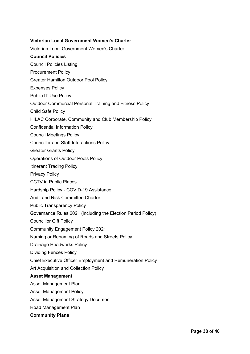### **Victorian Local Government Women's Charter**

[Victorian Local Government Women's Charter](http://www.sthgrampians.vic.gov.au/files/Public_Documents/PublicDocumentsVictorianLocalGovernmentWomensCharterJan2011.pdf)

### **Council Policies**

- [Council Policies Listing](https://www.sthgrampians.vic.gov.au/files/Public_Documents/PublicDocumentsCouncilPoliciesListing.pdf)
- [Procurement Policy](https://www.sthgrampians.vic.gov.au/files/Public_Documents/Procurement_Policy-December_2019.pdf)
- [Greater Hamilton Outdoor Pool Policy](https://www.sthgrampians.vic.gov.au/files/Public_Documents/Greater_Hamilton_Outdoor_Pools_Policy.pdf)
- [Expenses Policy](https://www.sthgrampians.vic.gov.au/files/Governance/Council_Policy__-_Organisational_Development_-_Governance_-_Expenses_Policy.pdf)
- [Public IT Use Policy](https://www.sthgrampians.vic.gov.au/files/Governance/Public_IT_Use_Policy.pdf)
- [Outdoor Commercial Personal Training and Fitness Policy](https://www.sthgrampians.vic.gov.au/files/Recreation/Outdoor_Commercial_Personal_Training_and_Fitness_Policy.pdf)
- [Child Safe Policy](https://www.sthgrampians.vic.gov.au/files/Child_Safe_Policy.PDF)
- [HILAC Corporate, Community and Club Membership Policy](https://www.sthgrampians.vic.gov.au/files/Governance/Council_Policy_Community_and_Leisure_Services_HILAC_Corporate_Community_and_Club_Membership.pdf)
- [Confidential Information Policy](https://www.sthgrampians.vic.gov.au/files/Governance/Council_Policy_-_Organisational_Development_-_Governance_-_Confidential_Information_Policy.pdf)
- [Council Meetings Policy](https://www.sthgrampians.vic.gov.au/files/Governance/Council_Policy__Governance__Council_Meetings.PDF)
- [Councillor and Staff Interactions Policy](https://www.sthgrampians.vic.gov.au/files/Governance/Operational_Policy_-_Councillor_and_Staff_Interactions_Policy.pdf)
- [Greater Grants Policy](https://www.sthgrampians.vic.gov.au/files/Governance/Greater_Grants_Policy_2018.pdf)
- [Operations of Outdoor Pools Policy](https://www.sthgrampians.vic.gov.au/files/Governance/Council_Policy_Community_and_Leisure_Services_Operations_of_Outdoor_Pools_Policy.pdf)
- [Itinerant Trading Policy](https://www.sthgrampians.vic.gov.au/files/Governance/Operational_Policy_Planning_and_Regulatory_Services_Local_Laws_Itinerant_Trading_Policy.PDF)
- [Privacy Policy](https://www.sthgrampians.vic.gov.au/files/Governance/Council_Policy_-_Organisational_Development_-_Governance_-_Privacy_Policy.PDF)
- [CCTV in Public Places](https://www.sthgrampians.vic.gov.au/files/Governance/Operational_Policy_-_Business_Systems_-_CCTV_in_Public_Spaces_Policy.pdf)
- Hardship Policy [COVID-19 Assistance](https://www.sthgrampians.vic.gov.au/files/Governance/Hardship_Policy_-_COVID-19_Assistance.pdf)
- [Audit and Risk Committee Charter](https://www.sthgrampians.vic.gov.au/files/Governance/Audit_and_Risk_Committee_Charter_2020.pdf)
- [Public Transparency Policy](https://www.sthgrampians.vic.gov.au/files/Governance/Public_Transparency_Policy.pdf)
- [Governance Rules 2021 \(including the Election Period Policy\)](https://www.sthgrampians.vic.gov.au/files/Governance/Final_SGSC_Governance_Rules_2021_-_Adopted_13_October_2021.PDF)
- [Councillor Gift Policy](https://www.sthgrampians.vic.gov.au/files/Governance/Council_Policy_-_Operational_Development_-_Gift_Policy_-_Adopted_10_February_2021.pdf)
- [Community Engagement Policy 2021](https://www.sthgrampians.vic.gov.au/files/Governance/Council_Policy_-_Community_Relations_-_Community_Engagement_Policy_2021_-__Adopted_10_February_2021.pdf)
- [Naming or Renaming of Roads and Streets Policy](https://www.sthgrampians.vic.gov.au/files/Governance/Council_Policy_-_Assets_-_Nami_opted_by_Council_14_April_2021.pdf)
- [Drainage Headworks Policy](https://www.sthgrampians.vic.gov.au/files/Governance/Council_Policy_-_Assets_-_Drai_opted_by_Council_14_April_2021.pdf)
- [Dividing Fences Policy](https://www.sthgrampians.vic.gov.au/files/Governance/Council_Policy_-_Assets_-_Drai_opted_by_Council_14_April_2021.pdf)
- [Chief Executive Officer Employment and Remuneration Policy](https://www.sthgrampians.vic.gov.au/files/Governance/CEO_Employment_and_Remuneration_Policy.pdf)
- [Art Acquisition and Collection Policy](https://www.sthgrampians.vic.gov.au/files/Governance/Council_Policy_-_Cultural_Arts_adopted_by_Council_14_July_2021.pdf)

#### **Asset Management**

- [Asset Management Plan](http://www.sthgrampians.vic.gov.au/files/Public_Documents/PublicDocumentsAssetManagementPlan_Final2011.pdf)
- [Asset Management Policy](http://www.sthgrampians.vic.gov.au/files/Public_Documents/PublicDocumentsAssetManagementPolicyAug2013.pdf)
- [Asset Management Strategy Document](http://www.sthgrampians.vic.gov.au/files/Public_Documents/PublicDocumentsAssetManagementPracticesImprovementStrategy2014.pdf)
- [Road Management Plan](http://www.sthgrampians.vic.gov.au/files/Road_Management_Plan_2017.pdf)
- **Community Plans**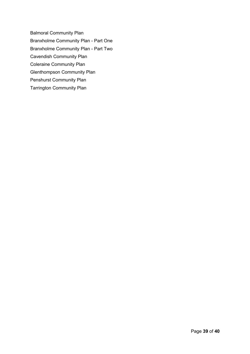[Balmoral Community Plan](http://www.sthgrampians.vic.gov.au/files/Public_Documents/Balmoral_Community_Plan.pdf) [Branxholme Community Plan -](http://www.sthgrampians.vic.gov.au/files/Public_Documents/Branxholme-Community-Plan-Part-One.pdf) Part One [Branxholme Community Plan -](http://www.sthgrampians.vic.gov.au/files/Public_Documents/Branxholme-Community-Plan-Part-Two.pdf) Part Two [Cavendish Community Plan](http://www.sthgrampians.vic.gov.au/files/Public_Documents/Cavendish_Community_Plan.pdf) [Coleraine Community Plan](http://www.sthgrampians.vic.gov.au/files/Public_Documents/Coleraine_Community_Plan_2011.pdf) [Glenthompson Community Plan](http://www.sthgrampians.vic.gov.au/files/Public_Documents/Glenthompson_Community_Plan.pdf) [Penshurst Community Plan](http://www.sthgrampians.vic.gov.au/files/Public_Documents/Penshurst_Community_Plan_-_DRAFT_-_2017_-_2020.PDF) [Tarrington Community Plan](http://www.sthgrampians.vic.gov.au/files/Public_Documents/Tarrington_Community_Plan_2015-21.PDF)